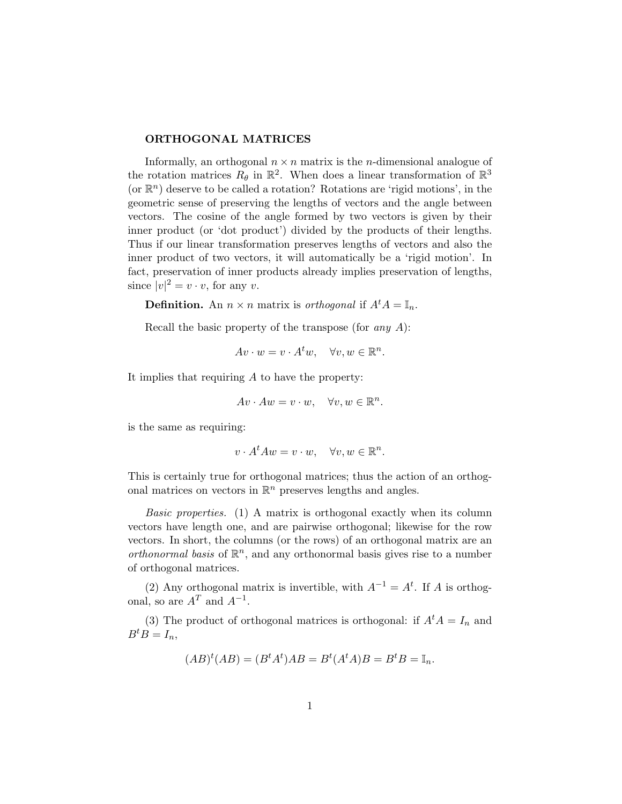## ORTHOGONAL MATRICES

Informally, an orthogonal  $n \times n$  matrix is the *n*-dimensional analogue of the rotation matrices  $R_{\theta}$  in  $\mathbb{R}^2$ . When does a linear transformation of  $\mathbb{R}^3$ (or  $\mathbb{R}^n$ ) deserve to be called a rotation? Rotations are 'rigid motions', in the geometric sense of preserving the lengths of vectors and the angle between vectors. The cosine of the angle formed by two vectors is given by their inner product (or 'dot product') divided by the products of their lengths. Thus if our linear transformation preserves lengths of vectors and also the inner product of two vectors, it will automatically be a 'rigid motion'. In fact, preservation of inner products already implies preservation of lengths, since  $|v|^2 = v \cdot v$ , for any v.

**Definition.** An  $n \times n$  matrix is *orthogonal* if  $A^t A = \mathbb{I}_n$ .

Recall the basic property of the transpose (for any  $A$ ):

$$
Av \cdot w = v \cdot A^t w, \quad \forall v, w \in \mathbb{R}^n.
$$

It implies that requiring A to have the property:

$$
Av \cdot Aw = v \cdot w, \quad \forall v, w \in \mathbb{R}^n.
$$

is the same as requiring:

$$
v \cdot A^t A w = v \cdot w, \quad \forall v, w \in \mathbb{R}^n.
$$

This is certainly true for orthogonal matrices; thus the action of an orthogonal matrices on vectors in  $\mathbb{R}^n$  preserves lengths and angles.

Basic properties. (1) A matrix is orthogonal exactly when its column vectors have length one, and are pairwise orthogonal; likewise for the row vectors. In short, the columns (or the rows) of an orthogonal matrix are an orthonormal basis of  $\mathbb{R}^n$ , and any orthonormal basis gives rise to a number of orthogonal matrices.

(2) Any orthogonal matrix is invertible, with  $A^{-1} = A^t$ . If A is orthogonal, so are  $A<sup>T</sup>$  and  $A<sup>-1</sup>$ .

(3) The product of orthogonal matrices is orthogonal: if  $A^t A = I_n$  and  $B^tB=I_n,$ 

$$
(AB)^t(AB) = (B^tA^t)AB = B^t(A^tA)B = B^tB = \mathbb{I}_n.
$$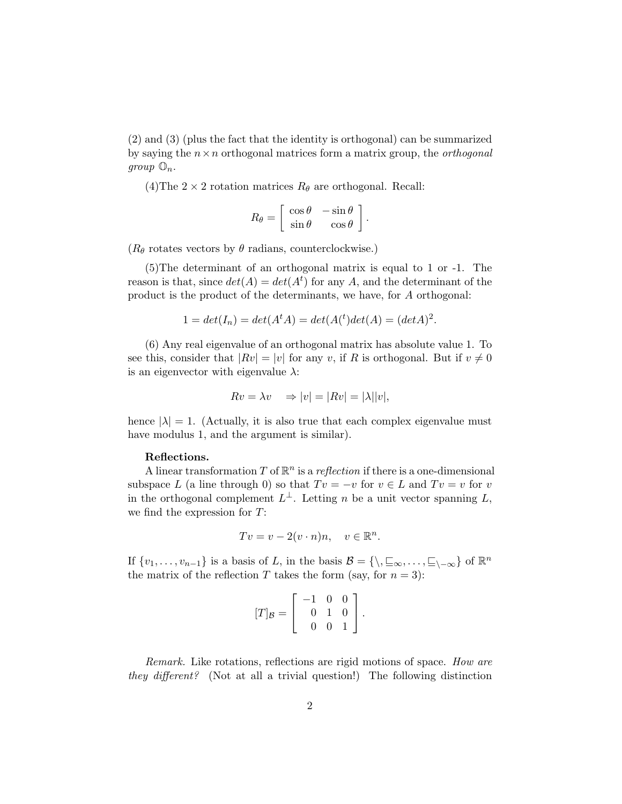(2) and (3) (plus the fact that the identity is orthogonal) can be summarized by saying the  $n \times n$  orthogonal matrices form a matrix group, the *orthogonal*  $group \mathbb{O}_n.$ 

(4)The  $2 \times 2$  rotation matrices  $R_{\theta}$  are orthogonal. Recall:

$$
R_{\theta} = \begin{bmatrix} \cos \theta & -\sin \theta \\ \sin \theta & \cos \theta \end{bmatrix}.
$$

 $(R_{\theta}$  rotates vectors by  $\theta$  radians, counterclockwise.)

(5)The determinant of an orthogonal matrix is equal to 1 or -1. The reason is that, since  $det(A) = det(A^t)$  for any A, and the determinant of the product is the product of the determinants, we have, for A orthogonal:

$$
1 = det(I_n) = det(A^t A) = det(A^t) det(A) = (det A)^2.
$$

(6) Any real eigenvalue of an orthogonal matrix has absolute value 1. To see this, consider that  $|Rv| = |v|$  for any v, if R is orthogonal. But if  $v \neq 0$ is an eigenvector with eigenvalue  $\lambda$ :

$$
Rv = \lambda v \Rightarrow |v| = |Rv| = |\lambda||v|,
$$

hence  $|\lambda| = 1$ . (Actually, it is also true that each complex eigenvalue must have modulus 1, and the argument is similar).

## Reflections.

A linear transformation T of  $\mathbb{R}^n$  is a reflection if there is a one-dimensional subspace L (a line through 0) so that  $Tv = -v$  for  $v \in L$  and  $Tv = v$  for v in the orthogonal complement  $L^{\perp}$ . Letting n be a unit vector spanning L, we find the expression for T:

$$
Tv = v - 2(v \cdot n)n, \quad v \in \mathbb{R}^n.
$$

If  $\{v_1, \ldots, v_{n-1}\}\$ is a basis of L, in the basis  $\mathcal{B} = \{\setminus, \subseteq_{\infty}, \ldots, \subseteq_{\setminus -\infty}\}\$  of  $\mathbb{R}^n$ the matrix of the reflection T takes the form (say, for  $n = 3$ ):

$$
[T]_{\mathcal{B}} = \left[ \begin{array}{rrr} -1 & 0 & 0 \\ 0 & 1 & 0 \\ 0 & 0 & 1 \end{array} \right]
$$

.

Remark. Like rotations, reflections are rigid motions of space. How are they different? (Not at all a trivial question!) The following distinction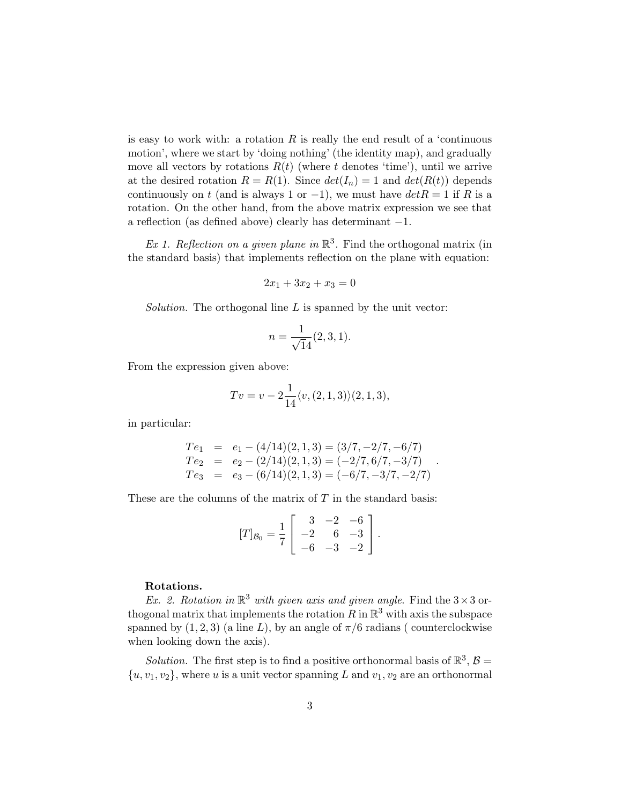is easy to work with: a rotation  $R$  is really the end result of a 'continuous motion', where we start by 'doing nothing' (the identity map), and gradually move all vectors by rotations  $R(t)$  (where t denotes 'time'), until we arrive at the desired rotation  $R = R(1)$ . Since  $det(I_n) = 1$  and  $det(R(t))$  depends continuously on t (and is always 1 or  $-1$ ), we must have  $det R = 1$  if R is a rotation. On the other hand, from the above matrix expression we see that a reflection (as defined above) clearly has determinant −1.

Ex 1. Reflection on a given plane in  $\mathbb{R}^3$ . Find the orthogonal matrix (in the standard basis) that implements reflection on the plane with equation:

$$
2x_1 + 3x_2 + x_3 = 0
$$

*Solution*. The orthogonal line  $L$  is spanned by the unit vector:

$$
n = \frac{1}{\sqrt{14}}(2, 3, 1).
$$

From the expression given above:

$$
Tv = v - 2\frac{1}{14} \langle v, (2,1,3) \rangle (2,1,3),
$$

in particular:

$$
Te_1 = e_1 - (4/14)(2, 1, 3) = (3/7, -2/7, -6/7)
$$
  
\n
$$
Te_2 = e_2 - (2/14)(2, 1, 3) = (-2/7, 6/7, -3/7)
$$
  
\n
$$
Te_3 = e_3 - (6/14)(2, 1, 3) = (-6/7, -3/7, -2/7)
$$

These are the columns of the matrix of  $T$  in the standard basis:

$$
[T]_{\mathcal{B}_0} = \frac{1}{7} \left[ \begin{array}{rrr} 3 & -2 & -6 \\ -2 & 6 & -3 \\ -6 & -3 & -2 \end{array} \right].
$$

## Rotations.

Ex. 2. Rotation in  $\mathbb{R}^3$  with given axis and given angle. Find the  $3 \times 3$  orthogonal matrix that implements the rotation  $R$  in  $\mathbb{R}^3$  with axis the subspace spanned by  $(1, 2, 3)$  (a line L), by an angle of  $\pi/6$  radians ( counterclockwise when looking down the axis).

Solution. The first step is to find a positive orthonormal basis of  $\mathbb{R}^3$ ,  $\mathcal{B} =$  $\{u, v_1, v_2\}$ , where u is a unit vector spanning L and  $v_1, v_2$  are an orthonormal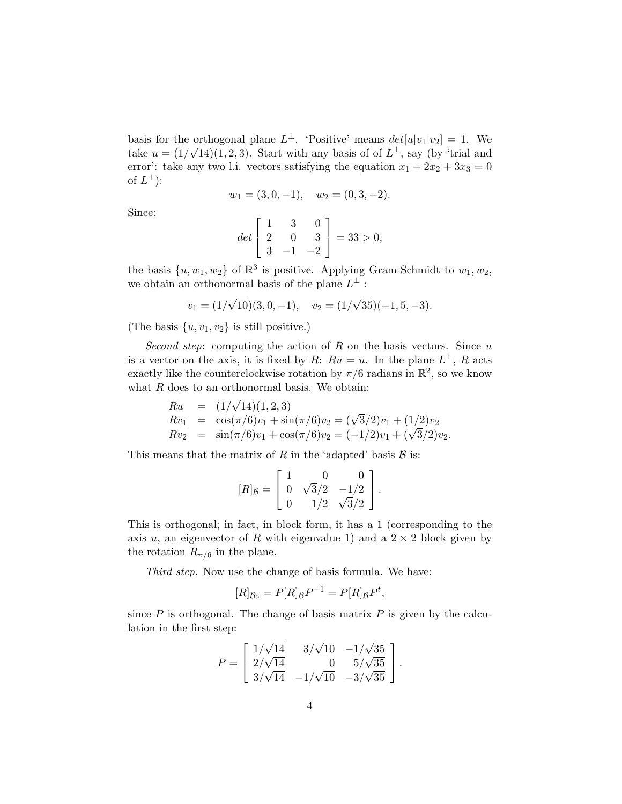basis for the orthogonal plane  $L^{\perp}$ . 'Positive' means  $det[u|v_1|v_2] = 1$ . We take  $u = (1/\sqrt{14})(1, 2, 3)$ . Start with any basis of of  $L^{\perp}$ , say (by 'trial and error': take any two l.i. vectors satisfying the equation  $x_1 + 2x_2 + 3x_3 = 0$ of  $L^{\perp}$ ):

$$
w_1 = (3, 0, -1), \quad w_2 = (0, 3, -2).
$$

Since:

$$
det\begin{bmatrix} 1 & 3 & 0 \\ 2 & 0 & 3 \\ 3 & -1 & -2 \end{bmatrix} = 33 > 0,
$$

the basis  $\{u, w_1, w_2\}$  of  $\mathbb{R}^3$  is positive. Applying Gram-Schmidt to  $w_1, w_2$ , we obtain an orthonormal basis of the plane  $L^{\perp}$ :

$$
v_1 = (1/\sqrt{10})(3, 0, -1), v_2 = (1/\sqrt{35})(-1, 5, -3).
$$

(The basis  $\{u, v_1, v_2\}$  is still positive.)

Second step: computing the action of R on the basis vectors. Since  $u$ is a vector on the axis, it is fixed by R:  $Ru = u$ . In the plane  $L^{\perp}$ , R acts exactly like the counterclockwise rotation by  $\pi/6$  radians in  $\mathbb{R}^2$ , so we know what  $R$  does to an orthonormal basis. We obtain:

$$
Ru = (1/\sqrt{14})(1, 2, 3)
$$
  
\n
$$
Rv_1 = \cos(\pi/6)v_1 + \sin(\pi/6)v_2 = (\sqrt{3}/2)v_1 + (1/2)v_2
$$
  
\n
$$
Rv_2 = \sin(\pi/6)v_1 + \cos(\pi/6)v_2 = (-1/2)v_1 + (\sqrt{3}/2)v_2.
$$

This means that the matrix of R in the 'adapted' basis  $\beta$  is:

$$
[R]_{\mathcal{B}} = \left[ \begin{array}{ccc} 1 & 0 & 0 \\ 0 & \sqrt{3}/2 & -1/2 \\ 0 & 1/2 & \sqrt{3}/2 \end{array} \right].
$$

This is orthogonal; in fact, in block form, it has a 1 (corresponding to the axis u, an eigenvector of R with eigenvalue 1) and a  $2 \times 2$  block given by the rotation  $R_{\pi/6}$  in the plane.

Third step. Now use the change of basis formula. We have:

$$
[R]_{\mathcal{B}_0} = P[R]_{\mathcal{B}}P^{-1} = P[R]_{\mathcal{B}}P^t,
$$

since  $P$  is orthogonal. The change of basis matrix  $P$  is given by the calculation in the first step:

$$
P = \begin{bmatrix} 1/\sqrt{14} & 3/\sqrt{10} & -1/\sqrt{35} \\ 2/\sqrt{14} & 0 & 5/\sqrt{35} \\ 3/\sqrt{14} & -1/\sqrt{10} & -3/\sqrt{35} \end{bmatrix}.
$$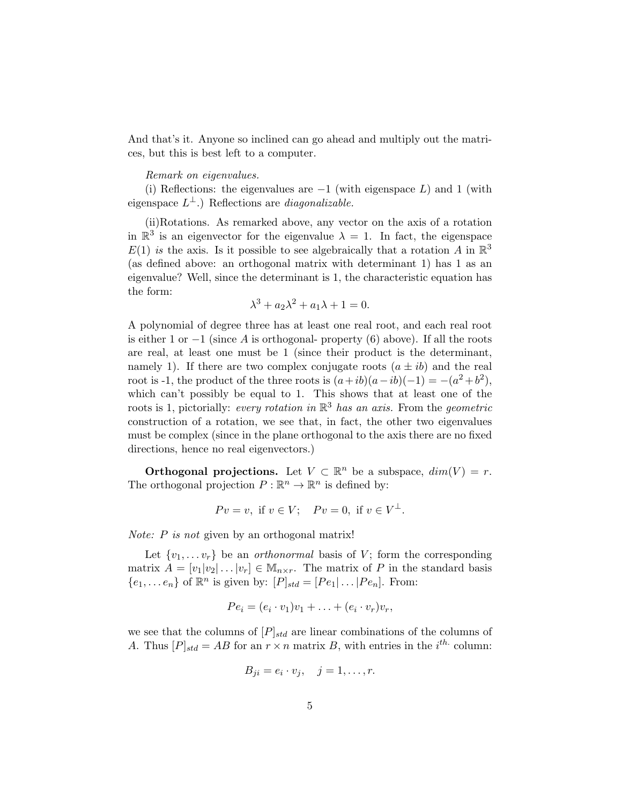And that's it. Anyone so inclined can go ahead and multiply out the matrices, but this is best left to a computer.

## Remark on eigenvalues.

(i) Reflections: the eigenvalues are  $-1$  (with eigenspace L) and 1 (with eigenspace  $L^{\perp}$ .) Reflections are *diagonalizable*.

(ii)Rotations. As remarked above, any vector on the axis of a rotation in  $\mathbb{R}^3$  is an eigenvector for the eigenvalue  $\lambda = 1$ . In fact, the eigenspace  $E(1)$  is the axis. Is it possible to see algebraically that a rotation A in  $\mathbb{R}^3$ (as defined above: an orthogonal matrix with determinant 1) has 1 as an eigenvalue? Well, since the determinant is 1, the characteristic equation has the form:

$$
\lambda^3 + a_2 \lambda^2 + a_1 \lambda + 1 = 0.
$$

A polynomial of degree three has at least one real root, and each real root is either 1 or  $-1$  (since A is orthogonal- property (6) above). If all the roots are real, at least one must be 1 (since their product is the determinant, namely 1). If there are two complex conjugate roots  $(a \pm ib)$  and the real root is -1, the product of the three roots is  $(a+ib)(a-ib)(-1) = -(a^2 + b^2)$ , which can't possibly be equal to 1. This shows that at least one of the roots is 1, pictorially: *every rotation in*  $\mathbb{R}^3$  has an axis. From the *geometric* construction of a rotation, we see that, in fact, the other two eigenvalues must be complex (since in the plane orthogonal to the axis there are no fixed directions, hence no real eigenvectors.)

**Orthogonal projections.** Let  $V \subset \mathbb{R}^n$  be a subspace,  $dim(V) = r$ . The orthogonal projection  $P : \mathbb{R}^n \to \mathbb{R}^n$  is defined by:

$$
Pv = v
$$
, if  $v \in V$ ;  $Pv = 0$ , if  $v \in V^{\perp}$ .

*Note:*  $P$  *is not* given by an orthogonal matrix!

Let  $\{v_1, \ldots v_r\}$  be an *orthonormal* basis of V; form the corresponding matrix  $A = [v_1|v_2|\dots|v_r] \in \mathbb{M}_{n \times r}$ . The matrix of P in the standard basis  $\{e_1, \ldots e_n\}$  of  $\mathbb{R}^n$  is given by:  $[P]_{std} = [Pe_1 | \ldots | Pe_n]$ . From:

$$
Pe_i = (e_i \cdot v_1)v_1 + \ldots + (e_i \cdot v_r)v_r,
$$

we see that the columns of  $[P]_{std}$  are linear combinations of the columns of A. Thus  $[P]_{std} = AB$  for an  $r \times n$  matrix B, with entries in the  $i^{th}$  column:

$$
B_{ji} = e_i \cdot v_j, \quad j = 1, \dots, r.
$$